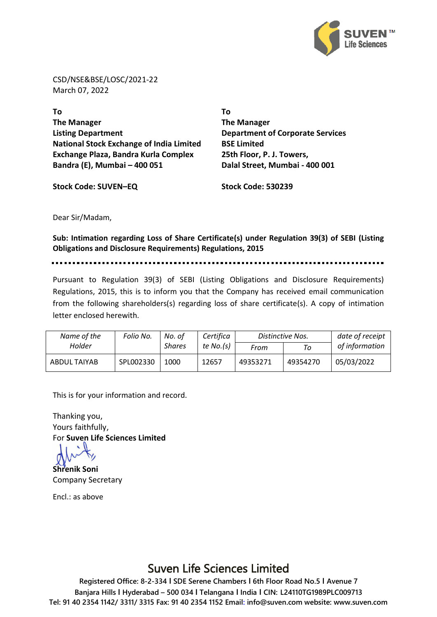

CSD/NSE&BSE/LOSC/2021-22 March 07, 2022

**To The Manager Listing Department National Stock Exchange of India Limited Exchange Plaza, Bandra Kurla Complex Bandra (E), Mumbai – 400 051**

**To The Manager Department of Corporate Services BSE Limited 25th Floor, P. J. Towers, Dalal Street, Mumbai - 400 001**

**Stock Code: SUVEN–EQ Stock Code: 530239**

Dear Sir/Madam,

**Sub: Intimation regarding Loss of Share Certificate(s) under Regulation 39(3) of SEBI (Listing Obligations and Disclosure Requirements) Regulations, 2015**

Pursuant to Regulation 39(3) of SEBI (Listing Obligations and Disclosure Requirements) Regulations, 2015, this is to inform you that the Company has received email communication from the following shareholders(s) regarding loss of share certificate(s). A copy of intimation letter enclosed herewith.

| Name of the  | Folio No. | No. of        | Certifica   |          | Distinctive Nos. | date of receipt |
|--------------|-----------|---------------|-------------|----------|------------------|-----------------|
| Holder       |           | <b>Shares</b> | te $No.(s)$ | From     | Tο               | of information  |
| ABDUL TAIYAB | SPL002330 | 1000          | 12657       | 49353271 | 49354270         | 05/03/2022      |

This is for your information and record.

Thanking you, Yours faithfully, For **Suven Life Sciences Limited**

**Shrenik Soni** Company Secretary

Encl.: as above

## Suven Life Sciences Limited

**Registered Office: 8-2-334 I SDE Serene Chambers I 6th Floor Road No.5 I Avenue 7 Banjara Hills I Hyderabad – 500 034 I Telangana I India I CIN: L24110TG1989PLC009713 Tel: 91 40 2354 1142/ 3311/ 3315 Fax: 91 40 2354 1152 Email: info@suven.com website: www.suven.com**